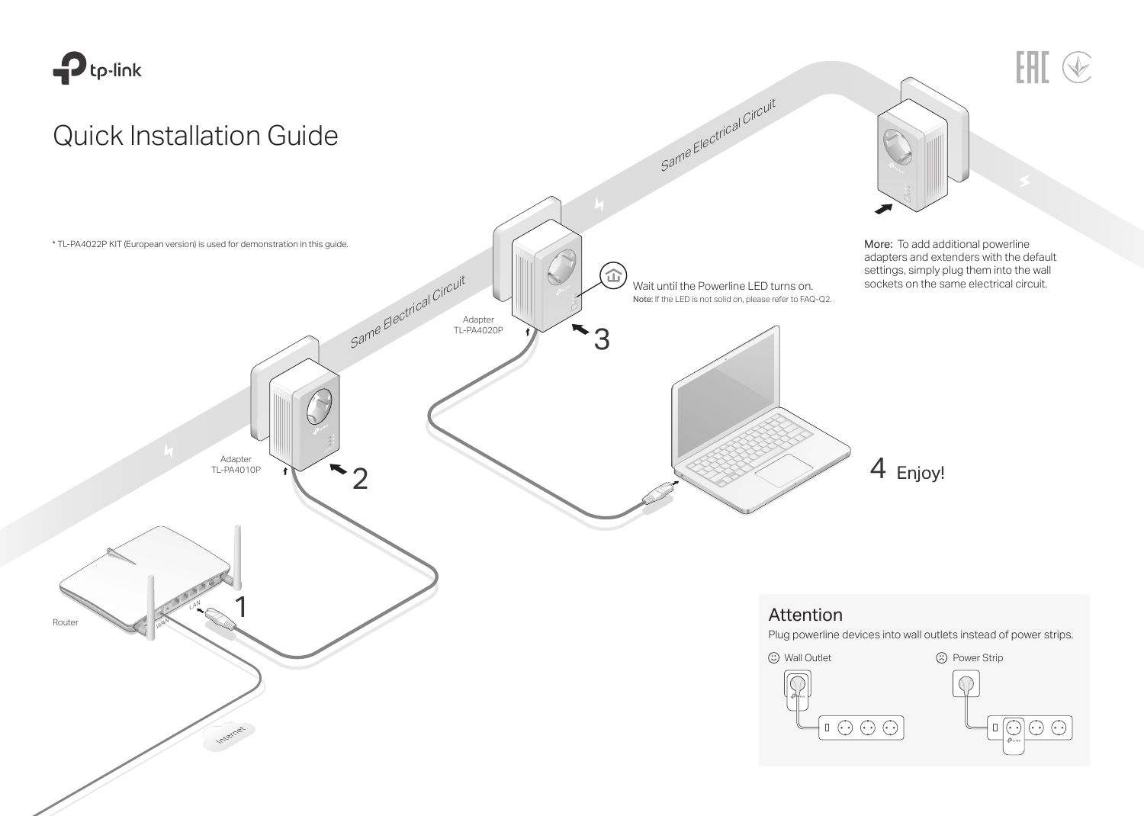